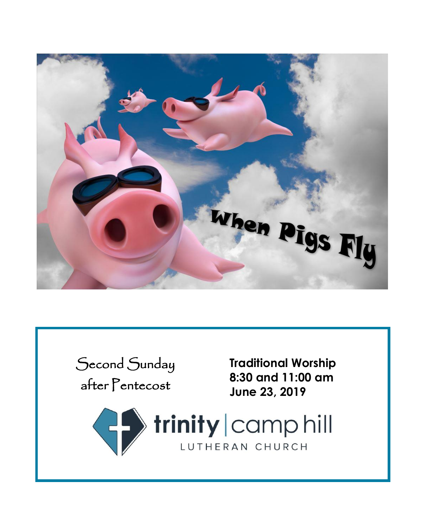

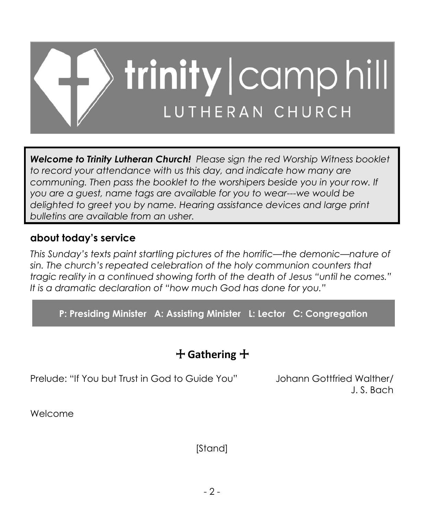

*Welcome to Trinity Lutheran Church! Please sign the red Worship Witness booklet to record your attendance with us this day, and indicate how many are communing. Then pass the booklet to the worshipers beside you in your row. If you are a guest, name tags are available for you to wear---we would be delighted to greet you by name. Hearing assistance devices and large print bulletins are available from an usher.*

# **about today's service**

*This Sunday's texts paint startling pictures of the horrific—the demonic—nature of sin. The church's repeated celebration of the holy communion counters that tragic reality in a continued showing forth of the death of Jesus "until he comes." It is a dramatic declaration of "how much God has done for you."*

**P: Presiding Minister A: Assisting Minister L: Lector C: Congregation**

# + **Gathering** +

Prelude: "If You but Trust in God to Guide You" Johann Gottfried Walther/

J. S. Bach

Welcome

[Stand]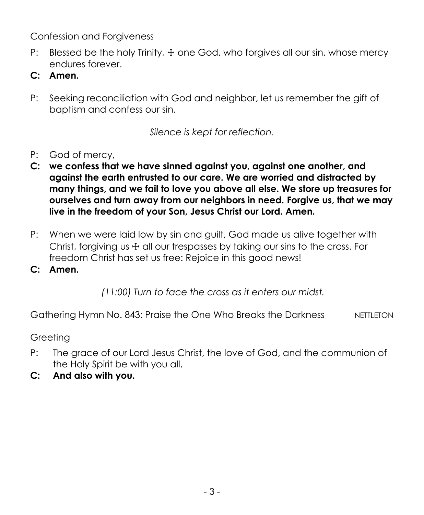Confession and Forgiveness

- P: Blessed be the holy Trinity,  $\pm$  one God, who forgives all our sin, whose mercy endures forever.
- **C: Amen.**
- P: Seeking reconciliation with God and neighbor, let us remember the gift of baptism and confess our sin.

*Silence is kept for reflection.*

- P: God of mercy,
- **C: we confess that we have sinned against you, against one another, and against the earth entrusted to our care. We are worried and distracted by many things, and we fail to love you above all else. We store up treasures for ourselves and turn away from our neighbors in need. Forgive us, that we may live in the freedom of your Son, Jesus Christ our Lord. Amen.**
- P: When we were laid low by sin and guilt, God made us alive together with Christ, forgiving us  $\pm$  all our trespasses by taking our sins to the cross. For freedom Christ has set us free: Rejoice in this good news!
- **C: Amen.**

*(11:00) Turn to face the cross as it enters our midst.*

Gathering Hymn No. 843: Praise the One Who Breaks the Darkness NETTLETON

Greeting

- P: The grace of our Lord Jesus Christ, the love of God, and the communion of the Holy Spirit be with you all.
- **C: And also with you.**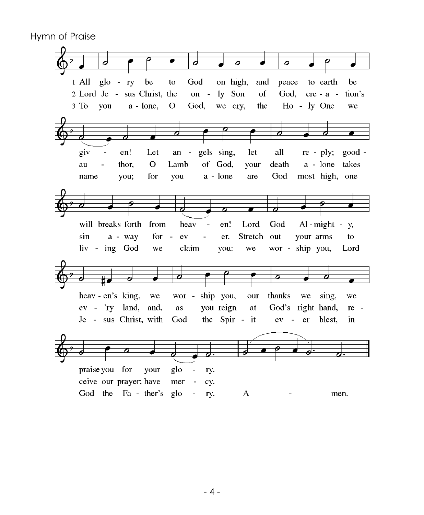Hymn of Praise

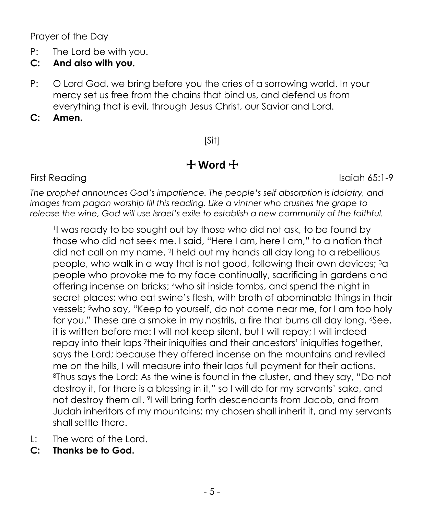Prayer of the Day

- P: The Lord be with you.
- **C: And also with you.**
- P: O Lord God, we bring before you the cries of a sorrowing world. In your mercy set us free from the chains that bind us, and defend us from everything that is evil, through Jesus Christ, our Savior and Lord.
- **C: Amen.**

## [Sit]

# + **Word** +

First Reading Isaiah 65:1-9

*The prophet announces God's impatience. The people's self absorption is idolatry, and images from pagan worship fill this reading. Like a vintner who crushes the grape to release the wine, God will use Israel's exile to establish a new community of the faithful.*

1 I was ready to be sought out by those who did not ask, to be found by those who did not seek me. I said, "Here I am, here I am," to a nation that did not call on my name. <sup>2</sup> I held out my hands all day long to a rebellious people, who walk in a way that is not good, following their own devices; <sup>3</sup>a people who provoke me to my face continually, sacrificing in gardens and offering incense on bricks; <sup>4</sup>who sit inside tombs, and spend the night in secret places; who eat swine's flesh, with broth of abominable things in their vessels; <sup>5</sup>who say, "Keep to yourself, do not come near me, for I am too holy for you." These are a smoke in my nostrils, a fire that burns all day long.  $6$ See, it is written before me: I will not keep silent, but I will repay; I will indeed repay into their laps <sup>7</sup> their iniquities and their ancestors' iniquities together, says the Lord; because they offered incense on the mountains and reviled me on the hills, I will measure into their laps full payment for their actions. <sup>8</sup>Thus says the Lord: As the wine is found in the cluster, and they say, "Do not destroy it, for there is a blessing in it," so I will do for my servants' sake, and not destroy them all. <sup>9</sup> I will bring forth descendants from Jacob, and from Judah inheritors of my mountains; my chosen shall inherit it, and my servants shall settle there.

- L: The word of the Lord.
- **C: Thanks be to God.**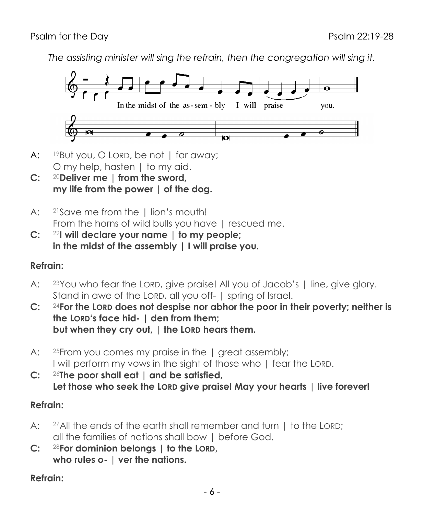*The assisting minister will sing the refrain, then the congregation will sing it.*



- A: <sup>19</sup>But you, O LORD, be not | far away; O my help, hasten 1 to my aid.
- **C:** <sup>20</sup>**Deliver me | from the sword, my life from the power | of the dog.**
- A: <sup>21</sup>Save me from the | lion's mouth! From the horns of wild bulls you have I rescued me.
- **C:** <sup>22</sup>**I will declare your name | to my people; in the midst of the assembly | I will praise you.**

#### **Refrain:**

- A: <sup>23</sup>You who fear the LORD, give praise! All you of Jacob's | line, give glory. Stand in awe of the LORD, all you off- | spring of Israel.
- **C:** <sup>24</sup>**For the LORD does not despise nor abhor the poor in their poverty; neither is the LORD's face hid- | den from them; but when they cry out, | the LORD hears them.**
- A: <sup>25</sup> From you comes my praise in the 1 great assembly; I will perform my vows in the sight of those who | fear the LORD.
- **C:** <sup>26</sup>**The poor shall eat | and be satisfied, Let those who seek the LORD give praise! May your hearts | live forever!**

#### **Refrain:**

- A: <sup>27</sup>All the ends of the earth shall remember and turn 1 to the LORD: all the families of nations shall bow | before God.
- **C:** <sup>28</sup>**For dominion belongs | to the LORD, who rules o- | ver the nations.**

## **Refrain:**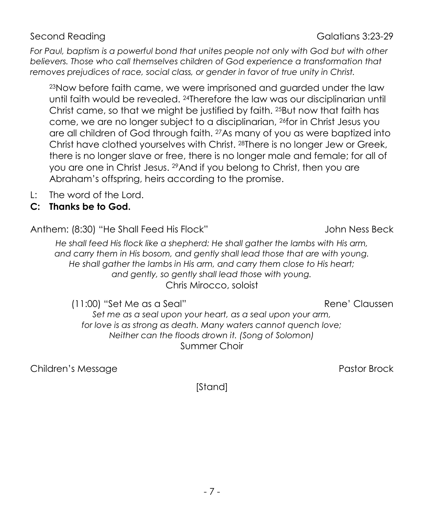For Paul, baptism is a powerful bond that unites people not only with God but with other *believers. Those who call themselves children of God experience a transformation that removes prejudices of race, social class, or gender in favor of true unity in Christ.*

<sup>23</sup>Now before faith came, we were imprisoned and guarded under the law until faith would be revealed. <sup>24</sup>Therefore the law was our disciplinarian until Christ came, so that we might be justified by faith. <sup>25</sup>But now that faith has come, we are no longer subject to a disciplinarian, <sup>26</sup>for in Christ Jesus you are all children of God through faith. <sup>27</sup>As many of you as were baptized into Christ have clothed yourselves with Christ. <sup>28</sup>There is no longer Jew or Greek, there is no longer slave or free, there is no longer male and female; for all of you are one in Christ Jesus. <sup>29</sup>And if you belong to Christ, then you are Abraham's offspring, heirs according to the promise.

- L: The word of the Lord.
- **C: Thanks be to God.**

Anthem: (8:30) "He Shall Feed His Flock"  $\qquad \qquad$  John Ness Beck

*He shall feed His flock like a shepherd: He shall gather the lambs with His arm, and carry them in His bosom, and gently shall lead those that are with young. He shall gather the lambs in His arm, and carry them close to His heart; and gently, so gently shall lead those with young.* Chris Mirocco, soloist

(11:00) "Set Me as a Seal" Rene' Claussen

*Set me as a seal upon your heart, as a seal upon your arm, for love is as strong as death. Many waters cannot quench love; Neither can the floods drown it. (Song of Solomon)* Summer Choir

Children's Message **Pastor Brook** Pastor Brock **Pastor Brook** 

[Stand]

Second Reading Galatians 3:23-29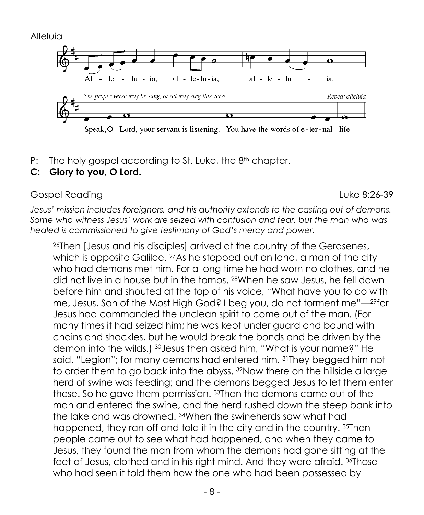Alleluia



Speak, O Lord, your servant is listening. You have the words of e-ter-nal life.

P: The holy gospel according to St. Luke, the 8<sup>th</sup> chapter.

#### **C: Glory to you, O Lord.**

#### Gospel Reading Luke 8:26-39

*Jesus' mission includes foreigners, and his authority extends to the casting out of demons. Some who witness Jesus' work are seized with confusion and fear, but the man who was healed is commissioned to give testimony of God's mercy and power.*

<sup>26</sup>Then [Jesus and his disciples] arrived at the country of the Gerasenes, which is opposite Galilee. <sup>27</sup>As he stepped out on land, a man of the city who had demons met him. For a long time he had worn no clothes, and he did not live in a house but in the tombs. <sup>28</sup>When he saw Jesus, he fell down before him and shouted at the top of his voice, "What have you to do with me, Jesus, Son of the Most High God? I beg you, do not torment me"—29for Jesus had commanded the unclean spirit to come out of the man. (For many times it had seized him; he was kept under guard and bound with chains and shackles, but he would break the bonds and be driven by the demon into the wilds.) <sup>30</sup>Jesus then asked him, "What is your name?" He said, "Legion"; for many demons had entered him. <sup>31</sup>They begged him not to order them to go back into the abyss. <sup>32</sup>Now there on the hillside a large herd of swine was feeding; and the demons begged Jesus to let them enter these. So he gave them permission. <sup>33</sup>Then the demons came out of the man and entered the swine, and the herd rushed down the steep bank into the lake and was drowned. <sup>34</sup>When the swineherds saw what had happened, they ran off and told it in the city and in the country. 35Then people came out to see what had happened, and when they came to Jesus, they found the man from whom the demons had gone sitting at the feet of Jesus, clothed and in his right mind. And they were afraid. <sup>36</sup>Those who had seen it told them how the one who had been possessed by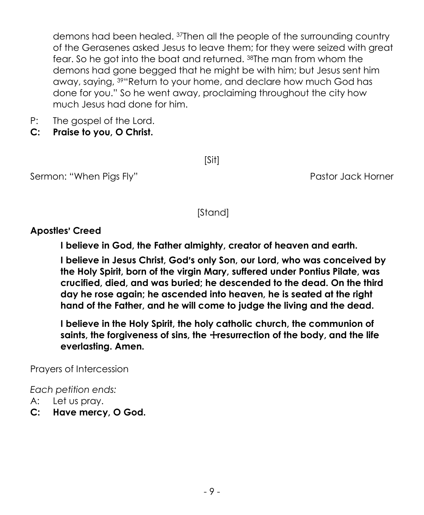demons had been healed. <sup>37</sup>Then all the people of the surrounding country of the Gerasenes asked Jesus to leave them; for they were seized with great fear. So he got into the boat and returned. <sup>38</sup>The man from whom the demons had gone begged that he might be with him; but Jesus sent him away, saying, <sup>39</sup>"Return to your home, and declare how much God has done for you." So he went away, proclaiming throughout the city how much Jesus had done for him.

- P: The gospel of the Lord.
- **C: Praise to you, O Christ.**

[Sit]

Sermon: "When Pigs Fly" extending the Sermon: "When Pigs Fly" Pastor Jack Horner

[Stand]

#### **Apostles**= **Creed**

**I believe in God, the Father almighty, creator of heaven and earth.**

**I believe in Jesus Christ, God's only Son, our Lord, who was conceived by the Holy Spirit, born of the virgin Mary, suffered under Pontius Pilate, was crucified, died, and was buried; he descended to the dead. On the third day he rose again; he ascended into heaven, he is seated at the right hand of the Father, and he will come to judge the living and the dead.**

**I believe in the Holy Spirit, the holy catholic church, the communion of**  saints, the forgiveness of sins, the *+*resurrection of the body, and the life **everlasting. Amen.**

Prayers of Intercession

*Each petition ends:*

- A: Let us pray.
- **C: Have mercy, O God.**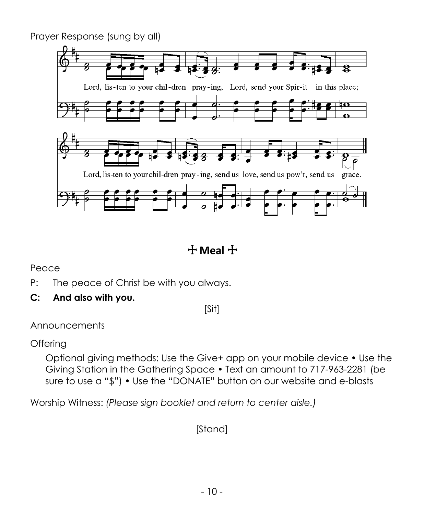Prayer Response (sung by all)



+ **Meal** +

Peace

- P: The peace of Christ be with you always.
- **C: And also with you.**

[Sit]

Announcements

**Offering** 

Optional giving methods: Use the Give+ app on your mobile device • Use the Giving Station in the Gathering Space • Text an amount to 717-963-2281 (be sure to use a "\$") • Use the "DONATE" button on our website and e-blasts

Worship Witness: *(Please sign booklet and return to center aisle.)*

[Stand]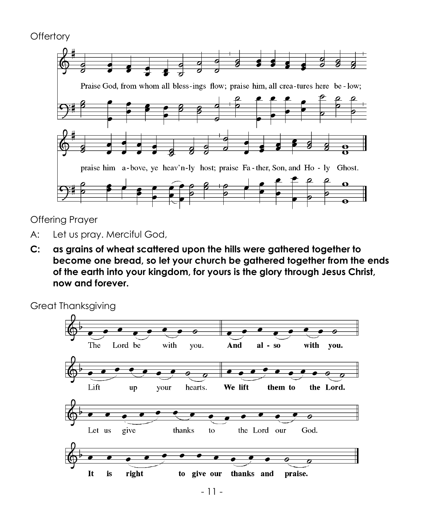```
Offertory
```


Offering Prayer

- A: Let us pray. Merciful God,
- **C: as grains of wheat scattered upon the hills were gathered together to become one bread, so let your church be gathered together from the ends of the earth into your kingdom, for yours is the glory through Jesus Christ, now and forever.**

Great Thanksgiving

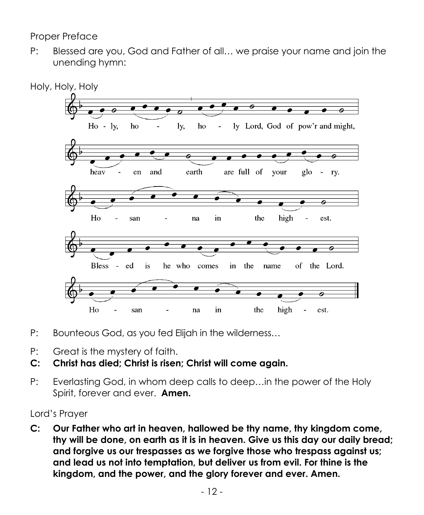Proper Preface

P: Blessed are you, God and Father of all… we praise your name and join the unending hymn:



- P: Bounteous God, as you fed Elijah in the wilderness…
- P: Great is the mystery of faith.
- **C: Christ has died; Christ is risen; Christ will come again.**
- P: Everlasting God, in whom deep calls to deep…in the power of the Holy Spirit, forever and ever. **Amen.**

#### Lord's Prayer

**C: Our Father who art in heaven, hallowed be thy name, thy kingdom come, thy will be done, on earth as it is in heaven. Give us this day our daily bread; and forgive us our trespasses as we forgive those who trespass against us; and lead us not into temptation, but deliver us from evil. For thine is the kingdom, and the power, and the glory forever and ever. Amen.**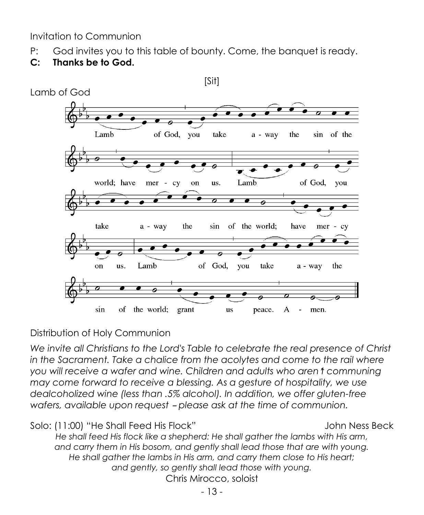Invitation to Communion

P: God invites you to this table of bounty. Come, the banquet is ready.

## **C: Thanks be to God.**



Distribution of Holy Communion

*We invite all Christians to the Lord's Table to celebrate the real presence of Christ in the Sacrament. Take a chalice from the acolytes and come to the rail where you will receive a wafer and wine. Children and adults who aren*=*t communing may come forward to receive a blessing. As a gesture of hospitality, we use dealcoholized wine (less than .5% alcohol). In addition, we offer gluten-free wafers, available upon request - please ask at the time of communion.* 

Solo: (11:00) "He Shall Feed His Flock" John Ness Beck

*He shall feed His flock like a shepherd: He shall gather the lambs with His arm, and carry them in His bosom, and gently shall lead those that are with young. He shall gather the lambs in His arm, and carry them close to His heart; and gently, so gently shall lead those with young.* Chris Mirocco, soloist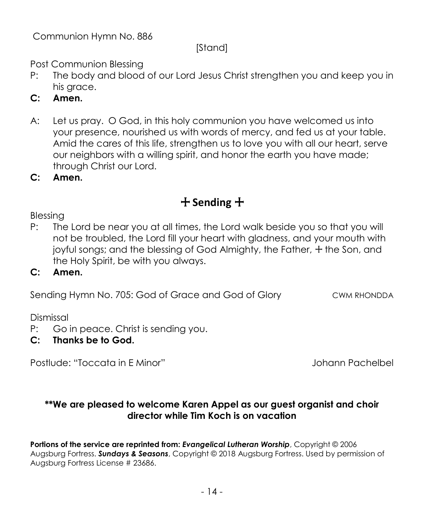Communion Hymn No. 886

## [Stand]

Post Communion Blessing

- P: The body and blood of our Lord Jesus Christ strengthen you and keep you in his arace.
- **C: Amen.**
- A: Let us pray. O God, in this holy communion you have welcomed us into your presence, nourished us with words of mercy, and fed us at your table. Amid the cares of this life, strengthen us to love you with all our heart, serve our neighbors with a willing spirit, and honor the earth you have made; through Christ our Lord.

**C: Amen.**

# + **Sending** +

Blessing

P: The Lord be near you at all times, the Lord walk beside you so that you will not be troubled, the Lord fill your heart with gladness, and your mouth with joyful songs; and the blessing of God Almighty, the Father,  $+$  the Son, and the Holy Spirit, be with you always.

#### **C: Amen.**

Sending Hymn No. 705: God of Grace and God of Glory CWM RHONDDA

Dismissal

P: Go in peace. Christ is sending you.

# **C: Thanks be to God.**

Postlude: "Toccata in E Minor" Johann Pachelbel

#### **\*\*We are pleased to welcome Karen Appel as our guest organist and choir director while Tim Koch is on vacation**

**Portions of the service are reprinted from:** *Evangelical Lutheran Worship*, Copyright © 2006 Augsburg Fortress. *Sundays & Seasons*, Copyright © 2018 Augsburg Fortress. Used by permission of Augsburg Fortress License # 23686.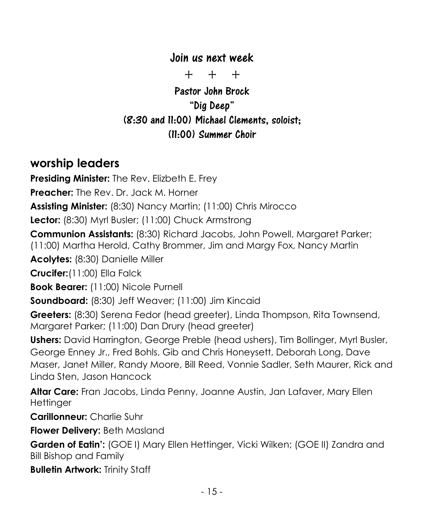# Join us next week

+ + +

Pastor John Brock "Dig Deep" (8:30 and 11:00) Michael Clements, soloist; (11:00) Summer Choir

# **worship leaders**

**Presiding Minister:** The Rev. Elizbeth E. Frey

**Preacher:** The Rev. Dr. Jack M. Horner

**Assisting Minister:** (8:30) Nancy Martin; (11:00) Chris Mirocco

**Lector:** (8:30) Myrl Busler; (11:00) Chuck Armstrong

**Communion Assistants:** (8:30) Richard Jacobs, John Powell, Margaret Parker;

(11:00) Martha Herold, Cathy Brommer, Jim and Margy Fox, Nancy Martin

**Acolytes:** (8:30) Danielle Miller

**Crucifer:**(11:00) Ella Falck

**Book Bearer:** (11:00) Nicole Purnell

**Soundboard:** (8:30) Jeff Weaver; (11:00) Jim Kincaid

**Greeters:** (8:30) Serena Fedor (head greeter), Linda Thompson, Rita Townsend, Margaret Parker; (11:00) Dan Drury (head greeter)

**Ushers:** David Harrington, George Preble (head ushers), Tim Bollinger, Myrl Busler, George Enney Jr., Fred Bohls, Gib and Chris Honeysett, Deborah Long, Dave Maser, Janet Miller, Randy Moore, Bill Reed, Vonnie Sadler, Seth Maurer, Rick and Linda Sten, Jason Hancock

**Altar Care:** Fran Jacobs, Linda Penny, Joanne Austin, Jan Lafaver, Mary Ellen **Hettinger** 

**Carillonneur:** Charlie Suhr

**Flower Delivery:** Beth Masland

**Garden of Eatin':** (GOE I) Mary Ellen Hettinger, Vicki Wilken; (GOE II) Zandra and Bill Bishop and Family

**Bulletin Artwork:** Trinity Staff